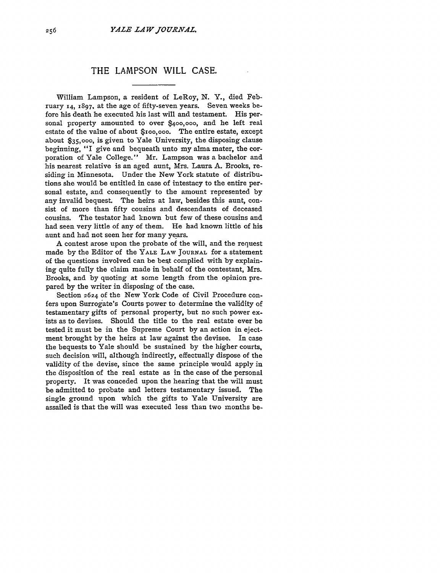## THE **LAMPSON** WILL **CASE.**

William Lampson, a resident of LeRoy, N. Y., died February **14, 1897.** at the age of fifty-seven years. Seven weeks before his death he executed his last will and testament. His personal property amounted to over **\$400,ooo,** and he left real estate of the value of about \$ioo,ooo. The entire estate, except about **\$35,000,** is given to Yale University, the disposing clause beginning, "I give and bequeath unto my alma mater, the corporation of Yale College." Mr. Lampson was a bachelor and his nearest relative is an aged aunt, Mrs. Laura A. Brooks, residing in Minnesota. Under the New York statute of distributions she would be entitled in case of intestacy to the entire personal estate, and consequently to the amount represented by any invalid bequest. The heirs at law, besides this aunt, consist of more than fifty cousins and descendants of deceased cousins. The testator had known but few of these cousins and had seen very little of any of them. He had known little of his aunt and had not seen her for many years.

A contest arose upon the probate of the will, and the request made by the Editor of the YALE LAW **JOURNAL** for a statement of the questions involved can be best complied with by explaining quite fully the claim made in behalf of the contestant, Mrs. Brooks, and by quoting at some length from the opinion prepared by the writer in disposing of the case.

Section **2624** of the New York Code of Civil Procedure confers upon Surrogate's Courts power to determine the validity of testamentary gifts of personal property, but no such power exists as to devises. Should the title to the real estate ever be tested it must be in the Supreme Court by an action in ejectment brought by the heirs at law against the devisee. In case the bequests to Yale should be sustained by the higher courts, such decision will, although indirectly, effectually dispose of the validity of the devise, since the same principle would apply in the disposition of the real estate as in the case of the personal property. It was conceded upon the hearing that the will must be admitted to probate and letters testamentary issued. The single ground upon which the gifts to Yale University are assailed is that the will was executed less than two months be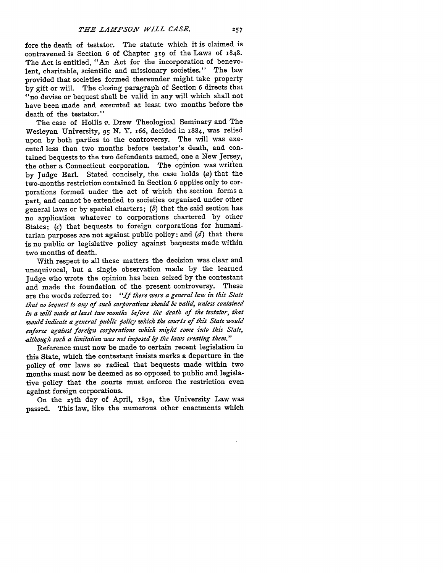fore the death of testator. The statute which it is claimed is contravened is Section 6 of Chapter **3Y9** of the Laws of 1848. The Act is entitled, "An Act for the incorporation of benevolent, charitable, scientific and missionary societies." The law provided that societies formed thereunder might take property **by** gift or will. The closing paragraph of Section 6 directs that "no devise or bequest shall be valid in any will which shall not have been made and executed at least two months before the death of the testator."

The case of Hollis *v.* Drew Theological Seminary and The Wesleyan University, *95 N.* Y. 166, decided in **1884,** was relied upon by both parties to the controversy. The will was executed less than two months before testator's death, and contained bequests to the two defendants named, one a New Jersey, the other a Connecticut corporation. The opinion was written by Judge Earl. Stated concisely, the case holds (a) that the two-months restriction contained in Section 6 applies only to corporations formed under the act of which the section forms a part, and cannot be extended to societies organized under other general laws or by special charters;  $(b)$  that the said section has no application whatever to corporations chartered by other States; (c) that bequests to foreign corporations for humanitarian purposes are not against public policy: and *(d)* that there is no public or legislative policy against bequests made within two months of death.

With respect to all these matters the decision was clear and unequivocal, but a single observation made by the learned Judge who wrote the opinion has been seized by the contestant and made the foundation of the present controversy. These are the words referred to: *"If there were a general law in this State that no bequest to any of such corporations should be valid, unless contained in a will made at least two months before the death of the testator, that would indicate a general public policy which the courts of this State would enforce against foreign corporations which might come into this State, although such a limitation was not imposed by the laws creating them."*

Reference must now be made to certain recent legislation in this State, which the contestant insists marks a departure in the policy of our laws so radical that bequests made within two months must now be deemed as so opposed to public and legislative policy that the courts must enforce the restriction even against foreign corporations.

On the 27 th day of April, **1892,** the University Law was passed. This law, like the numerous other enactments which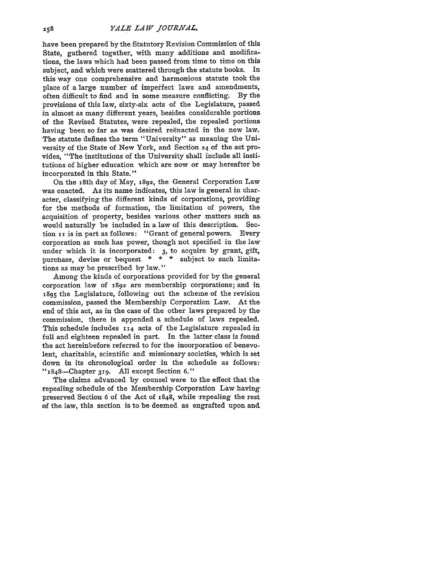have been prepared by the Statutory Revision Commission of this State, gathered together, with many additions and modifications, the laws which had been passed from time to time on this subject, and which were scattered through the statute books. In this way one comprehensive and harmonious statute took the place of a large number of imperfect laws and amendments, often difficult to find and in some measure conflicting. By the provisions of this law, sixty-six acts of the Legislature, passed in almost as many different years, besides considerable portions of the Revised Statutes, were repealed, the repealed portions having been so far as was desired reënacted in the new law. The statute defines the term "University" as meaning the University of the State of New York, and Section 24 of the act provides, "The institutions of the University shall include all institutions of higher education which are now or may hereafter be incorporated in this State."

On the 18th day of May, 1892, the General Corporation Law was enacted. As its name indicates, this law is general in character, classifying the different kinds of corporations, providing for the methods of formation, the limitation of powers, the acquisition of property, besides various other matters such as. would naturally be included in a law of this description. Section II is in part as follows: "Grant of general powers. Every corporation as such has power, though not specified in the law under which it is incorporated: 3, to acquire by grant, gift, purchase, devise or bequest **\* \* \*** subject to such limitations as may be prescribed by law."

Among the kinds of corporations provided for by the general corporation law of **1892** are membership corporations; and in 1895 the Legislature, following out the scheme of the revision commission, passed the Membership Corporation Law. At the end of this act, as in the case of the other laws prepared by the commission, there is appended a schedule of laws repealed. This schedule includes **114** acts of the Legislature repealed in full and eighteen repealed in part. In the latter class is found the act hereinbefore referred to for the incorporation of benevolent, charitable, scientific and missionary societies, which is set down in its chronological order in the schedule as follows: "18 <sup>4</sup> 8--Chapter **319.** All except Section 6."

The claims advanced by counsel were to the effect that the repealing schedule of the Membership Corporation Law having preserved Section 6 of the Act of 1848, while repealing the rest of the law, this section is to be deemed as engrafted upon and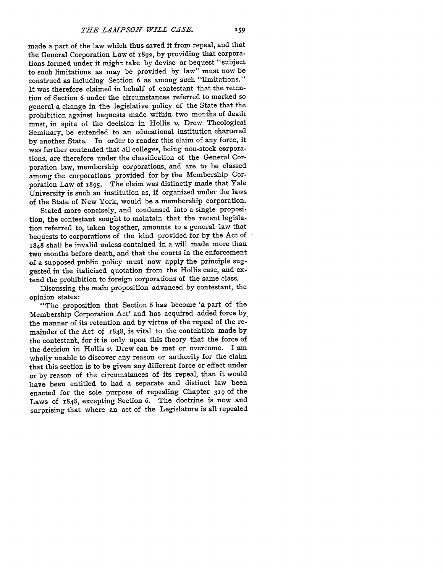made a part of the law which thus saved it from repeal, and that the General Corporation Law of **1892, by** providing that corporations formed under it might take **by** devise or bequest "subject to such limitations as may be provided **by** law" must now be construed as including Section 6 as among such "limitations." It was therefore claimed in behalf of contestant that the retention of Section **6** under the circumstances referred to marked so general a change in the legislative policy of the State that the prohibition against bequests made within two monfhs of death must, in spite of the decision in Hollis *v.* Drew Theological Seminary, be extended to an educational institution chartered **by** another State. In order to render this claim of any force, it was further contended that all colleges, being non-stock corporations, are therefore under the classification of the General Corporation law, membership corporations, and are to be classed **among** the corporations provided for **by** the Membership Corporation Law of **1895.** The claim was distinctly made that Yale University is such an institution as, if organized under the laws of the State of New York, would be a membership corporation.

Stated more concisely, and condensed into a single proposition, the contestant sought to maintain that the recent legislation referred to, taken together, amounts to a general law that bequests to corporations of the kind provided for **by** the Act of x848 shall be invalid unless contained in a will made more than two months before death, and that **the** courts in the enforcement of a supposed public policy must now apply the principle suggested in the italicized quotation from the Hollis case, and extend the prohibition to foreign corporations of the same class.

Discussing the main proposition advanced **by** contestant, the opinion states:

"The proposition that Section **6** has become 'a part of the Membership Corporation Act' and has acquired added force **by.** the manner of its retention and **by** virtue of the repeal of the remainder of the Act of **1848,** is vital to the contention made **by** the contestant, for it is only upon this theory that the force of the decision in Hollis  $v$ . Drew can be met or overcome. I am wholly unable to discover any reason or authority for the claim that this section is to be given any different force or effect under or **by** reason of the circumstances of its repeal, than it would have been entitled to had a separate and distinct law been enacted for the sole purpose of repealing Chapter **39 of** the Laws of **1848,** excepting Section **6.** The doctrine is new and surprising that where an act of the Legislature is all repealed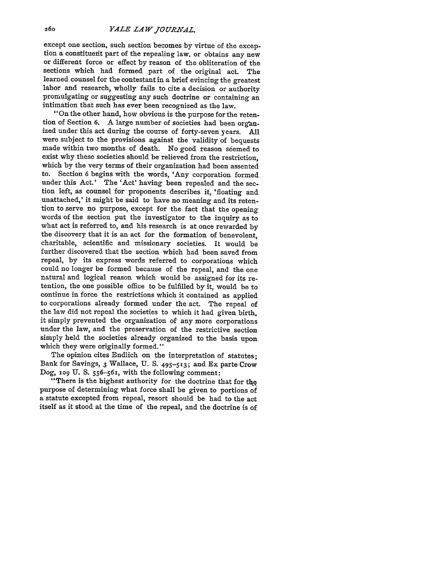except one section, such section becomes **by** virtue of the exception a constituent part of the repealing law, or obtains any new or different force or effect by reason of the obliteration of the sections which had formed part of the original act. The learned counsel for the contestant in a brief evincing the greatest labor and research, wholly fails to cite a decision or authority promulgating or suggesting any such doctrine or containing an intimation that such has ever been recognized as the law.

"On the other hand, how obvious is the purpose for the retention of Section 6. A large number of societies had been organized under this act during the course of forty-seven years. All were subject to the provisions against the validity of bequests made within two months of death. No good reason seemed to exist why these societies should be relieved from the restriction, which by the very terms of their organization had been assented to. Section 6 begins with the words, 'Any corporation formed under this Act.' The 'Act' having been repealed and the section left, as counsel for proponents describes it, 'floating and .unattached,' it might be said to have no meaning and its retention to serve no purpose, except for the fact that the opening words of the section put the investigator to the inquiry as to what act is referred to, and his research is at once rewarded by the discovery that it is an act for the formation of benevolent, charitable, scientific and missionary societies. It would be further discovered that the section which had been saved from repeal, by its express words referred to corporations which could no longer be formed because of the repeal, and the one natural and logical reason which would be assigned for its retention, the one possible office to be fulfilled by it, would be to continue in force the restrictions which it contained as applied to corporations already formed under the act. The repeal of the law did not repeal the societies to which it had given birth, it simply prevented the organization of any more corporations under the law, and the preservation of the restrictive section simply held the societies already organized to the basis upon which they were originally formed."

The opinion cites Endlich on the interpretation of statutes; Bank for Savings, 3 Wallace, U. S. **495-513;** and Ex parte Crow Dog, **109** U. **S.** 556-561, with the following comment:

"There is the highest authority for the doctrine that for the purpose of determining what force shall be given to portions of a statute excepted from repeal, resort should be had to the act itself as it stood at the time of the repeal, and the doctrine is of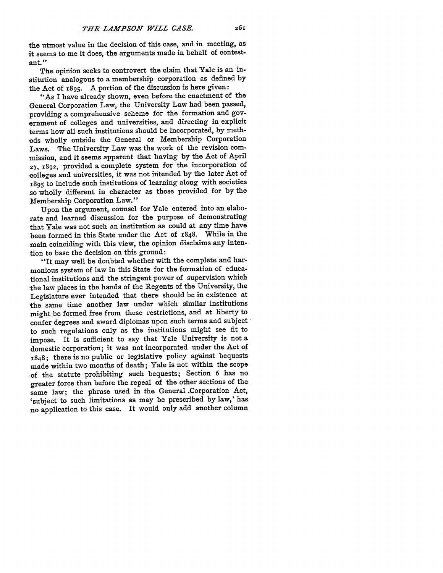the utmost value in the decision of this case, and in meeting, as it seems to me it does, the arguments made in behalf of contestant."

The opinion seeks to controvert the claim that Yale is an institution analogous to a membership corporation as defined **by** the Act of **1895.** A portion of the discussion is here given:

"As I have already shown, even before the enactment of the General Corporation Law, the University Law had been passed, providing a comprehensive scheme for the formation and government of colleges and universities, and directing in explicit terms how all such institutions should be incorporated, by methods wholly outside the General or Membership Corporation Laws. The University Law was the work of the revision commission, and it seems apparent that having by the Act of April **27, x892,** provided a complete system for the incorporation of colleges and universities, it was not intended by the later Act of 1895 to include such institutions of learning along with societies so wholly different in character as those provided for by the Membership Corporation Law."

Upon the argument, counsel for Yale entered into an elaborate and learned discussion for the purpose of demonstrating that Yale was not such an institution as could at any time have been formed in this State under the Act of 1848. While in the main coinciding with this view, the opinion disclaims any intention to base the decision on this ground:

"It may well be doubted whether with the complete and harmonious system of law in this State for the formation of educational institutions and the stringent power of supervision which the law places in the hands of the Regents of the University, the Legislature ever intended that there should be in existence at the same time another law under which similar institutions might be formed free from these restrictions, and at liberty to confer degrees and award diplomas upon such terms and subject to such regulations only as the institutions might see fit to impose. It is sufficient to say that Yale University is not a domestic corporation; it was not incorporated under the Act of x848; there is no public or legislative policy against bequests made within two months of death; Yale is not within the scope -of the statute prohibiting such bequests; Section 6 has no greater force than before the repeal of the other sections of the same law; the phrase used in the General .Corporation Act, 'subject to such limitations as may be prescribed by law,' has no application to this case. It would only add another column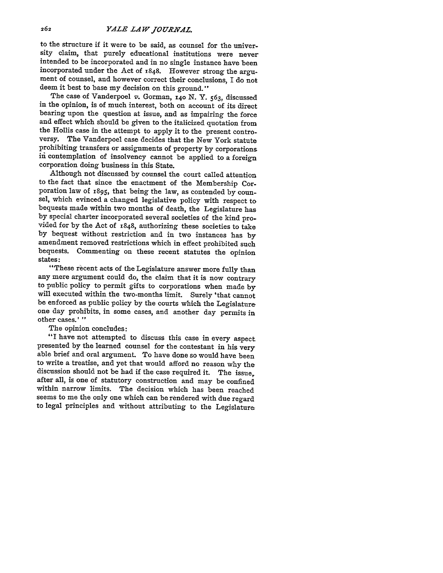to the structure if it were to be said, as counsel for the university claim, that purely educational institutions were never intended to be incorporated and in no single instance have been incorporated under the Act of **1848.** However strong the argument of counsel, and however correct their conclusions, I do not deem it best to base my decision on this ground."

The case of Vanderpoel v. Gorman, **14o** N. Y. **563,** discussed in the opinion, is of much interest, both on account of its direct bearing upon the question at issue, and as impairing the force and effect which should be given to the italicized quotation from the Hollis case in the attempt to apply it to the present controversy. The Vanderpoel case decides that the New York statute prohibiting transfers or assignments of property **by** corporations in contemplation of insolvency cannot be applied to a foreign corporation doing business in this State.

Although not discussed by counsel the court called attention to the fact that since the enactment of the Membership Corporation law of 1895, that being the law, as contended by coun- sel, which evinced a changed legislative policy with respect to bequests made within two months of death, the Legislature has by special charter incorporated several societies of the kind provided for by the Act of 1848, authorizing these societies to take by bequest without restriction and in two instances has by amendment removed restrictions which in effect prohibited such bequests. Commenting on these recent statutes the opinion states:

"These recent acts of the Legislature answer more fully than any mere argument could do, the claim that it is now contrary to public policy to permit gifts to corporations when made by will executed within the two-months limit. Surely 'that cannot be enforced as public policy by the courts which the Legislature one day prohibits, in some cases, and another day permits in other cases.' **"**

The opinion concludes:

"I have not attempted to discuss this case in every aspect presented by the learned counsel for the contestant in his very able brief and oral argument. To have done so would have been to write a treatise, and yet that would afford no reason why the discussion should not be had if the case required it. The issue, after all, is one of statutory construction and may be confined within narrow limits. The decision which has been reached seems to me the only one which can be rendered with due regard to legal principles and without attributing to the Legislature